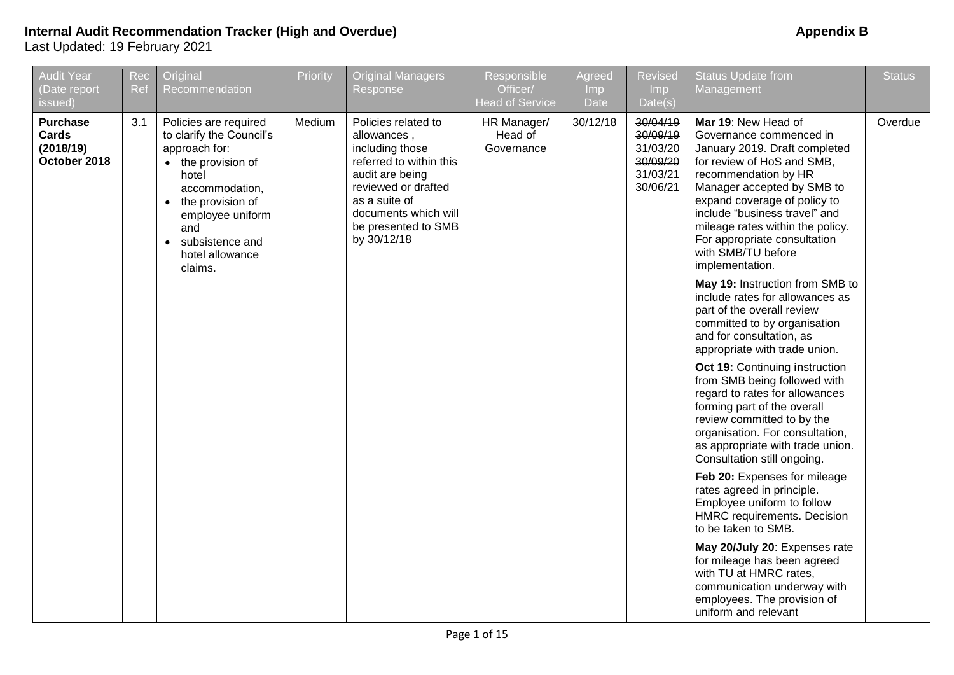| <b>Audit Year</b><br>(Date report<br>issued)          | Rec<br>Ref | Original<br>Recommendation                                                                                                                                                                                                                    | Priority | <b>Original Managers</b><br>Response                                                                                                                                                                      | Responsible<br>Officer/<br><b>Head of Service</b> | Agreed<br>Imp<br>Date | <b>Revised</b><br>Imp<br>Date(s)                                     | <b>Status Update from</b><br>Management                                                                                                                                                                                                                                                                                                                                                                                                                                                                                                                                              | <b>Status</b> |
|-------------------------------------------------------|------------|-----------------------------------------------------------------------------------------------------------------------------------------------------------------------------------------------------------------------------------------------|----------|-----------------------------------------------------------------------------------------------------------------------------------------------------------------------------------------------------------|---------------------------------------------------|-----------------------|----------------------------------------------------------------------|--------------------------------------------------------------------------------------------------------------------------------------------------------------------------------------------------------------------------------------------------------------------------------------------------------------------------------------------------------------------------------------------------------------------------------------------------------------------------------------------------------------------------------------------------------------------------------------|---------------|
| <b>Purchase</b><br>Cards<br>(2018/19)<br>October 2018 | 3.1        | Policies are required<br>to clarify the Council's<br>approach for:<br>• the provision of<br>hotel<br>accommodation,<br>the provision of<br>$\bullet$<br>employee uniform<br>and<br>subsistence and<br>$\bullet$<br>hotel allowance<br>claims. | Medium   | Policies related to<br>allowances,<br>including those<br>referred to within this<br>audit are being<br>reviewed or drafted<br>as a suite of<br>documents which will<br>be presented to SMB<br>by 30/12/18 | HR Manager/<br>Head of<br>Governance              | 30/12/18              | 30/04/19<br>30/09/19<br>31/03/20<br>30/09/20<br>31/03/21<br>30/06/21 | Mar 19: New Head of<br>Governance commenced in<br>January 2019. Draft completed<br>for review of HoS and SMB,<br>recommendation by HR<br>Manager accepted by SMB to<br>expand coverage of policy to<br>include "business travel" and<br>mileage rates within the policy.<br>For appropriate consultation<br>with SMB/TU before<br>implementation.<br>May 19: Instruction from SMB to<br>include rates for allowances as<br>part of the overall review<br>committed to by organisation<br>and for consultation, as<br>appropriate with trade union.<br>Oct 19: Continuing instruction | Overdue       |
|                                                       |            |                                                                                                                                                                                                                                               |          |                                                                                                                                                                                                           |                                                   |                       |                                                                      | from SMB being followed with<br>regard to rates for allowances<br>forming part of the overall<br>review committed to by the<br>organisation. For consultation,<br>as appropriate with trade union.<br>Consultation still ongoing.<br>Feb 20: Expenses for mileage<br>rates agreed in principle.<br>Employee uniform to follow                                                                                                                                                                                                                                                        |               |
|                                                       |            |                                                                                                                                                                                                                                               |          |                                                                                                                                                                                                           |                                                   |                       |                                                                      | HMRC requirements. Decision<br>to be taken to SMB.<br>May 20/July 20: Expenses rate<br>for mileage has been agreed<br>with TU at HMRC rates,<br>communication underway with<br>employees. The provision of<br>uniform and relevant                                                                                                                                                                                                                                                                                                                                                   |               |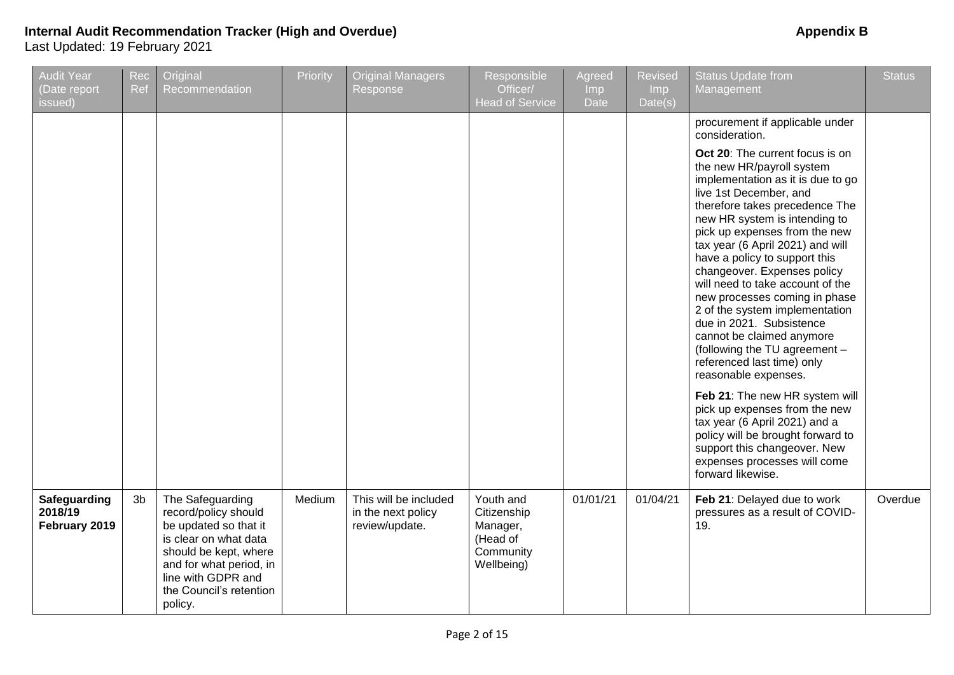| <b>Audit Year</b><br>(Date report<br>issued) | Rec<br>Ref     | Original<br>Recommendation                                                                                                                                                                                 | Priority | <b>Original Managers</b><br>Response                          | Responsible<br>Officer/<br><b>Head of Service</b>                           | Agreed<br>Imp<br><b>Date</b> | <b>Revised</b><br>Imp<br>Date(s) | <b>Status Update from</b><br>Management                                                                                                                                                                                                                                                                                                                                                                                                                                                                                                                                                                                                                                                                                                                                                                                                                                       | <b>Status</b> |
|----------------------------------------------|----------------|------------------------------------------------------------------------------------------------------------------------------------------------------------------------------------------------------------|----------|---------------------------------------------------------------|-----------------------------------------------------------------------------|------------------------------|----------------------------------|-------------------------------------------------------------------------------------------------------------------------------------------------------------------------------------------------------------------------------------------------------------------------------------------------------------------------------------------------------------------------------------------------------------------------------------------------------------------------------------------------------------------------------------------------------------------------------------------------------------------------------------------------------------------------------------------------------------------------------------------------------------------------------------------------------------------------------------------------------------------------------|---------------|
|                                              |                |                                                                                                                                                                                                            |          |                                                               |                                                                             |                              |                                  | procurement if applicable under<br>consideration.<br>Oct 20: The current focus is on<br>the new HR/payroll system<br>implementation as it is due to go<br>live 1st December, and<br>therefore takes precedence The<br>new HR system is intending to<br>pick up expenses from the new<br>tax year (6 April 2021) and will<br>have a policy to support this<br>changeover. Expenses policy<br>will need to take account of the<br>new processes coming in phase<br>2 of the system implementation<br>due in 2021. Subsistence<br>cannot be claimed anymore<br>(following the TU agreement -<br>referenced last time) only<br>reasonable expenses.<br>Feb 21: The new HR system will<br>pick up expenses from the new<br>tax year (6 April 2021) and a<br>policy will be brought forward to<br>support this changeover. New<br>expenses processes will come<br>forward likewise. |               |
| Safeguarding<br>2018/19<br>February 2019     | 3 <sub>b</sub> | The Safeguarding<br>record/policy should<br>be updated so that it<br>is clear on what data<br>should be kept, where<br>and for what period, in<br>line with GDPR and<br>the Council's retention<br>policy. | Medium   | This will be included<br>in the next policy<br>review/update. | Youth and<br>Citizenship<br>Manager,<br>(Head of<br>Community<br>Wellbeing) | 01/01/21                     | 01/04/21                         | Feb 21: Delayed due to work<br>pressures as a result of COVID-<br>19.                                                                                                                                                                                                                                                                                                                                                                                                                                                                                                                                                                                                                                                                                                                                                                                                         | Overdue       |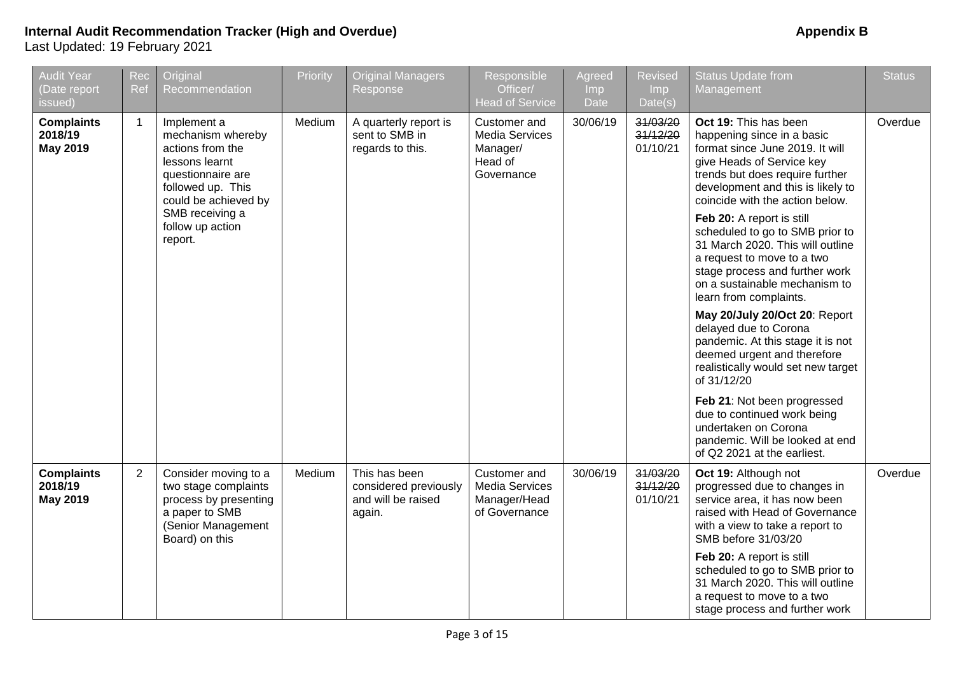| <b>Audit Year</b><br>(Date report<br>issued)    | Rec<br>Ref     | Original<br>Recommendation                                                                                                                                                                 | Priority | <b>Original Managers</b><br>Response                                   | Responsible<br>Officer/<br><b>Head of Service</b>                          | Agreed<br><b>Imp</b><br>Date | <b>Revised</b><br>Imp<br>Date(s) | <b>Status Update from</b><br>Management                                                                                                                                                                                                                                                                                                                                                                                                                                                                                                                                                                                                                                                                                                                                                                  | <b>Status</b> |
|-------------------------------------------------|----------------|--------------------------------------------------------------------------------------------------------------------------------------------------------------------------------------------|----------|------------------------------------------------------------------------|----------------------------------------------------------------------------|------------------------------|----------------------------------|----------------------------------------------------------------------------------------------------------------------------------------------------------------------------------------------------------------------------------------------------------------------------------------------------------------------------------------------------------------------------------------------------------------------------------------------------------------------------------------------------------------------------------------------------------------------------------------------------------------------------------------------------------------------------------------------------------------------------------------------------------------------------------------------------------|---------------|
| <b>Complaints</b><br>2018/19<br><b>May 2019</b> | $\mathbf{1}$   | Implement a<br>mechanism whereby<br>actions from the<br>lessons learnt<br>questionnaire are<br>followed up. This<br>could be achieved by<br>SMB receiving a<br>follow up action<br>report. | Medium   | A quarterly report is<br>sent to SMB in<br>regards to this.            | Customer and<br><b>Media Services</b><br>Manager/<br>Head of<br>Governance | 30/06/19                     | 31/03/20<br>31/12/20<br>01/10/21 | Oct 19: This has been<br>happening since in a basic<br>format since June 2019. It will<br>give Heads of Service key<br>trends but does require further<br>development and this is likely to<br>coincide with the action below.<br>Feb 20: A report is still<br>scheduled to go to SMB prior to<br>31 March 2020. This will outline<br>a request to move to a two<br>stage process and further work<br>on a sustainable mechanism to<br>learn from complaints.<br>May 20/July 20/Oct 20: Report<br>delayed due to Corona<br>pandemic. At this stage it is not<br>deemed urgent and therefore<br>realistically would set new target<br>of 31/12/20<br>Feb 21: Not been progressed<br>due to continued work being<br>undertaken on Corona<br>pandemic. Will be looked at end<br>of Q2 2021 at the earliest. | Overdue       |
| <b>Complaints</b><br>2018/19<br><b>May 2019</b> | $\overline{2}$ | Consider moving to a<br>two stage complaints<br>process by presenting<br>a paper to SMB<br>(Senior Management<br>Board) on this                                                            | Medium   | This has been<br>considered previously<br>and will be raised<br>again. | Customer and<br><b>Media Services</b><br>Manager/Head<br>of Governance     | 30/06/19                     | 31/03/20<br>31/12/20<br>01/10/21 | Oct 19: Although not<br>progressed due to changes in<br>service area, it has now been<br>raised with Head of Governance<br>with a view to take a report to<br>SMB before 31/03/20<br>Feb 20: A report is still<br>scheduled to go to SMB prior to<br>31 March 2020. This will outline<br>a request to move to a two<br>stage process and further work                                                                                                                                                                                                                                                                                                                                                                                                                                                    | Overdue       |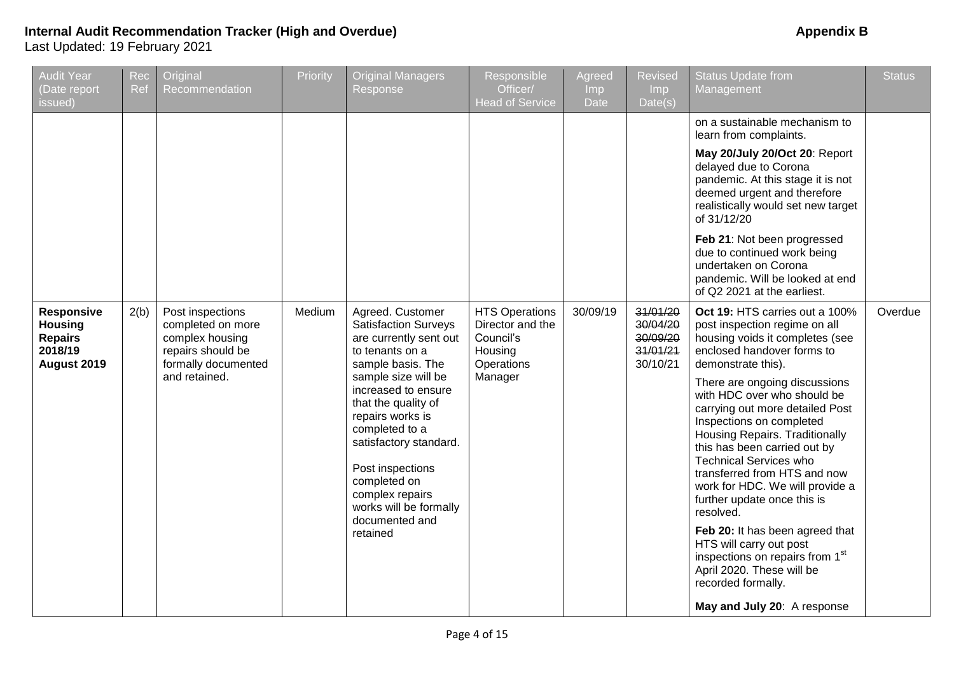| <b>Audit Year</b><br>(Date report<br>issued)                             | Rec<br>Ref | Original<br>Recommendation                                                                                            | Priority | <b>Original Managers</b><br>Response                                                                                                                                                                                                                                                                                                                                  | Responsible<br>Officer/<br><b>Head of Service</b>                                          | Agreed<br>Imp<br>Date | <b>Revised</b><br>Imp.<br>Date(s)                        | <b>Status Update from</b><br>Management                                                                                                                                                                                                                                                                                                                                                                                                                                                                                                                                                                                                                                                                                                                                                                                                                                                                                                                                                                                                                                                                      | <b>Status</b> |
|--------------------------------------------------------------------------|------------|-----------------------------------------------------------------------------------------------------------------------|----------|-----------------------------------------------------------------------------------------------------------------------------------------------------------------------------------------------------------------------------------------------------------------------------------------------------------------------------------------------------------------------|--------------------------------------------------------------------------------------------|-----------------------|----------------------------------------------------------|--------------------------------------------------------------------------------------------------------------------------------------------------------------------------------------------------------------------------------------------------------------------------------------------------------------------------------------------------------------------------------------------------------------------------------------------------------------------------------------------------------------------------------------------------------------------------------------------------------------------------------------------------------------------------------------------------------------------------------------------------------------------------------------------------------------------------------------------------------------------------------------------------------------------------------------------------------------------------------------------------------------------------------------------------------------------------------------------------------------|---------------|
| Responsive<br><b>Housing</b><br><b>Repairs</b><br>2018/19<br>August 2019 | 2(b)       | Post inspections<br>completed on more<br>complex housing<br>repairs should be<br>formally documented<br>and retained. | Medium   | Agreed. Customer<br><b>Satisfaction Surveys</b><br>are currently sent out<br>to tenants on a<br>sample basis. The<br>sample size will be<br>increased to ensure<br>that the quality of<br>repairs works is<br>completed to a<br>satisfactory standard.<br>Post inspections<br>completed on<br>complex repairs<br>works will be formally<br>documented and<br>retained | <b>HTS Operations</b><br>Director and the<br>Council's<br>Housing<br>Operations<br>Manager | 30/09/19              | 31/01/20<br>30/04/20<br>30/09/20<br>31/01/21<br>30/10/21 | on a sustainable mechanism to<br>learn from complaints.<br>May 20/July 20/Oct 20: Report<br>delayed due to Corona<br>pandemic. At this stage it is not<br>deemed urgent and therefore<br>realistically would set new target<br>of 31/12/20<br>Feb 21: Not been progressed<br>due to continued work being<br>undertaken on Corona<br>pandemic. Will be looked at end<br>of Q2 2021 at the earliest.<br>Oct 19: HTS carries out a 100%<br>post inspection regime on all<br>housing voids it completes (see<br>enclosed handover forms to<br>demonstrate this).<br>There are ongoing discussions<br>with HDC over who should be<br>carrying out more detailed Post<br>Inspections on completed<br>Housing Repairs. Traditionally<br>this has been carried out by<br><b>Technical Services who</b><br>transferred from HTS and now<br>work for HDC. We will provide a<br>further update once this is<br>resolved.<br>Feb 20: It has been agreed that<br>HTS will carry out post<br>inspections on repairs from 1 <sup>st</sup><br>April 2020. These will be<br>recorded formally.<br>May and July 20: A response | Overdue       |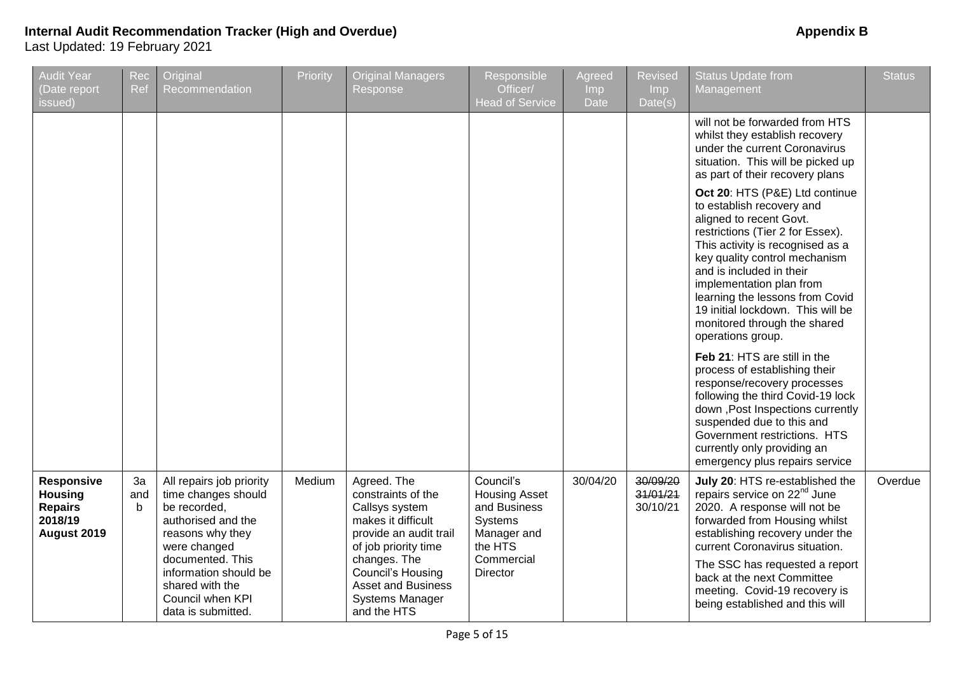| <b>Audit Year</b><br>(Date report<br>issued)                                    | Rec<br>Ref     | Original<br>Recommendation                                                                                                                                                                                                          | Priority | <b>Original Managers</b><br>Response                                                                                                                                                                                                          | Responsible<br>Officer/<br><b>Head of Service</b>                                                                       | <b>Agreed</b><br><b>Imp</b><br>Date | <b>Revised</b><br>Imp<br>Date(s) | <b>Status Update from</b><br>Management                                                                                                                                                                                                                                                                                                                                              | <b>Status</b> |
|---------------------------------------------------------------------------------|----------------|-------------------------------------------------------------------------------------------------------------------------------------------------------------------------------------------------------------------------------------|----------|-----------------------------------------------------------------------------------------------------------------------------------------------------------------------------------------------------------------------------------------------|-------------------------------------------------------------------------------------------------------------------------|-------------------------------------|----------------------------------|--------------------------------------------------------------------------------------------------------------------------------------------------------------------------------------------------------------------------------------------------------------------------------------------------------------------------------------------------------------------------------------|---------------|
|                                                                                 |                |                                                                                                                                                                                                                                     |          |                                                                                                                                                                                                                                               |                                                                                                                         |                                     |                                  | will not be forwarded from HTS<br>whilst they establish recovery<br>under the current Coronavirus<br>situation. This will be picked up<br>as part of their recovery plans                                                                                                                                                                                                            |               |
|                                                                                 |                |                                                                                                                                                                                                                                     |          |                                                                                                                                                                                                                                               |                                                                                                                         |                                     |                                  | Oct 20: HTS (P&E) Ltd continue<br>to establish recovery and<br>aligned to recent Govt.<br>restrictions (Tier 2 for Essex).<br>This activity is recognised as a<br>key quality control mechanism<br>and is included in their<br>implementation plan from<br>learning the lessons from Covid<br>19 initial lockdown. This will be<br>monitored through the shared<br>operations group. |               |
|                                                                                 |                |                                                                                                                                                                                                                                     |          |                                                                                                                                                                                                                                               |                                                                                                                         |                                     |                                  | Feb 21: HTS are still in the<br>process of establishing their<br>response/recovery processes<br>following the third Covid-19 lock<br>down , Post Inspections currently<br>suspended due to this and<br>Government restrictions. HTS<br>currently only providing an<br>emergency plus repairs service                                                                                 |               |
| <b>Responsive</b><br><b>Housing</b><br><b>Repairs</b><br>2018/19<br>August 2019 | 3a<br>and<br>b | All repairs job priority<br>time changes should<br>be recorded,<br>authorised and the<br>reasons why they<br>were changed<br>documented. This<br>information should be<br>shared with the<br>Council when KPI<br>data is submitted. | Medium   | Agreed. The<br>constraints of the<br>Callsys system<br>makes it difficult<br>provide an audit trail<br>of job priority time<br>changes. The<br><b>Council's Housing</b><br><b>Asset and Business</b><br><b>Systems Manager</b><br>and the HTS | Council's<br><b>Housing Asset</b><br>and Business<br>Systems<br>Manager and<br>the HTS<br>Commercial<br><b>Director</b> | 30/04/20                            | 30/09/20<br>31/01/21<br>30/10/21 | July 20: HTS re-established the<br>repairs service on 22 <sup>nd</sup> June<br>2020. A response will not be<br>forwarded from Housing whilst<br>establishing recovery under the<br>current Coronavirus situation.<br>The SSC has requested a report<br>back at the next Committee<br>meeting. Covid-19 recovery is<br>being established and this will                                | Overdue       |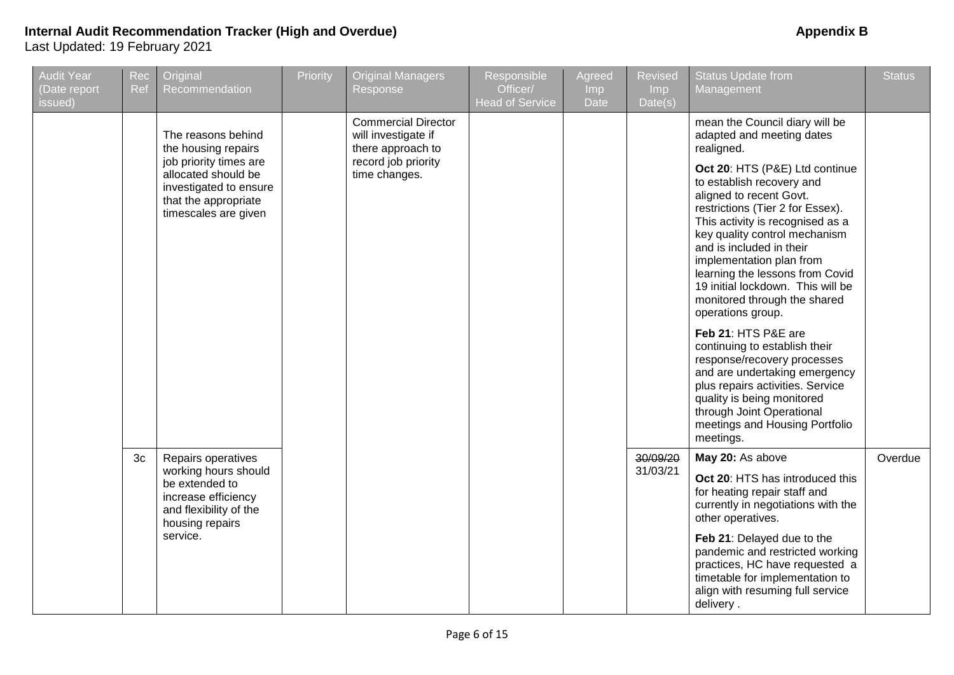| <b>Audit Year</b><br>(Date report<br>issued) | Rec<br>Ref     | Original<br>Recommendation                                                                                              | Priority | <b>Original Managers</b><br>Response                                   | Responsible<br>Officer/<br><b>Head of Service</b> | Agreed<br>Imp<br>Date | <b>Revised</b><br>Imp<br>Date(s) | <b>Status Update from</b><br>Management                                                                                                                                                                                                                                                                                                                                              | <b>Status</b> |
|----------------------------------------------|----------------|-------------------------------------------------------------------------------------------------------------------------|----------|------------------------------------------------------------------------|---------------------------------------------------|-----------------------|----------------------------------|--------------------------------------------------------------------------------------------------------------------------------------------------------------------------------------------------------------------------------------------------------------------------------------------------------------------------------------------------------------------------------------|---------------|
|                                              |                | The reasons behind<br>the housing repairs                                                                               |          | <b>Commercial Director</b><br>will investigate if<br>there approach to |                                                   |                       |                                  | mean the Council diary will be<br>adapted and meeting dates<br>realigned.                                                                                                                                                                                                                                                                                                            |               |
|                                              |                | job priority times are<br>allocated should be<br>investigated to ensure<br>that the appropriate<br>timescales are given |          | record job priority<br>time changes.                                   |                                                   |                       |                                  | Oct 20: HTS (P&E) Ltd continue<br>to establish recovery and<br>aligned to recent Govt.<br>restrictions (Tier 2 for Essex).<br>This activity is recognised as a<br>key quality control mechanism<br>and is included in their<br>implementation plan from<br>learning the lessons from Covid<br>19 initial lockdown. This will be<br>monitored through the shared<br>operations group. |               |
|                                              |                |                                                                                                                         |          |                                                                        |                                                   |                       |                                  | Feb 21: HTS P&E are<br>continuing to establish their<br>response/recovery processes<br>and are undertaking emergency<br>plus repairs activities. Service<br>quality is being monitored<br>through Joint Operational<br>meetings and Housing Portfolio<br>meetings.                                                                                                                   |               |
|                                              | 3 <sub>c</sub> | Repairs operatives                                                                                                      |          |                                                                        |                                                   |                       | 30/09/20                         | May 20: As above                                                                                                                                                                                                                                                                                                                                                                     | Overdue       |
|                                              |                | working hours should<br>be extended to<br>increase efficiency<br>and flexibility of the<br>housing repairs              |          |                                                                        |                                                   |                       | 31/03/21                         | Oct 20: HTS has introduced this<br>for heating repair staff and<br>currently in negotiations with the<br>other operatives.                                                                                                                                                                                                                                                           |               |
|                                              |                | service.                                                                                                                |          |                                                                        |                                                   |                       |                                  | Feb 21: Delayed due to the<br>pandemic and restricted working<br>practices, HC have requested a<br>timetable for implementation to<br>align with resuming full service<br>delivery.                                                                                                                                                                                                  |               |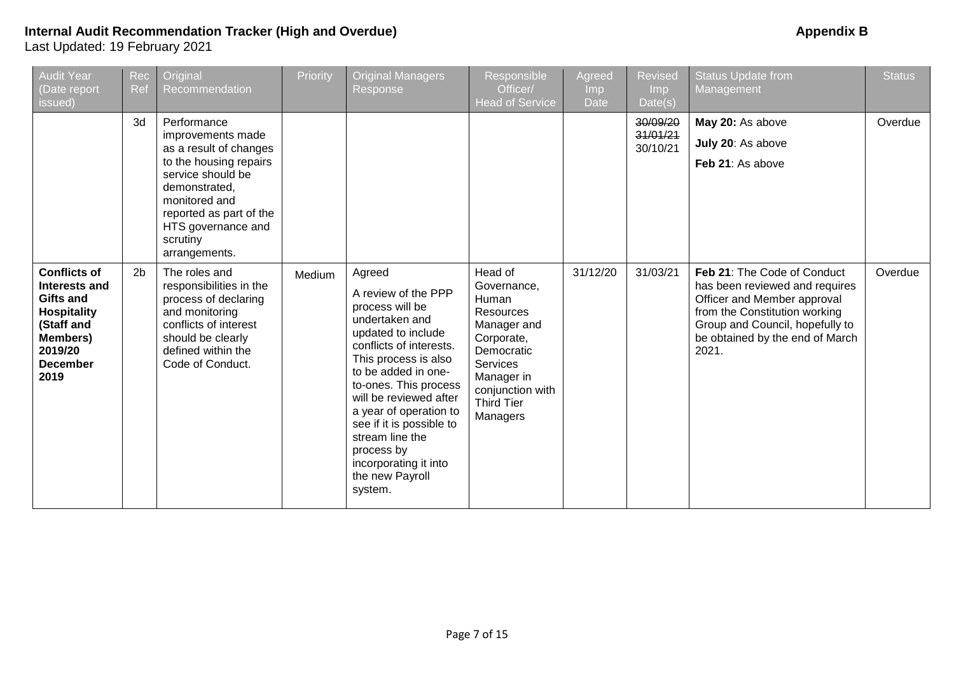| <b>Audit Year</b><br>(Date report<br>issued)                                                                                                   | Rec<br>Ref     | Original<br>Recommendation                                                                                                                                                                                                | Priority | <b>Original Managers</b><br>Response                                                                                                                                                                                                                                                                                                                                | Responsible<br>Officer/<br><b>Head of Service</b>                                                                                                                             | Agreed<br>Imp<br><b>Date</b> | <b>Revised</b><br>Imp<br>Date(s) | <b>Status Update from</b><br>Management                                                                                                                                                                      | <b>Status</b> |
|------------------------------------------------------------------------------------------------------------------------------------------------|----------------|---------------------------------------------------------------------------------------------------------------------------------------------------------------------------------------------------------------------------|----------|---------------------------------------------------------------------------------------------------------------------------------------------------------------------------------------------------------------------------------------------------------------------------------------------------------------------------------------------------------------------|-------------------------------------------------------------------------------------------------------------------------------------------------------------------------------|------------------------------|----------------------------------|--------------------------------------------------------------------------------------------------------------------------------------------------------------------------------------------------------------|---------------|
|                                                                                                                                                | 3d             | Performance<br>improvements made<br>as a result of changes<br>to the housing repairs<br>service should be<br>demonstrated,<br>monitored and<br>reported as part of the<br>HTS governance and<br>scrutiny<br>arrangements. |          |                                                                                                                                                                                                                                                                                                                                                                     |                                                                                                                                                                               |                              | 30/09/20<br>31/01/21<br>30/10/21 | May 20: As above<br>July 20: As above<br>Feb 21: As above                                                                                                                                                    | Overdue       |
| <b>Conflicts of</b><br>Interests and<br>Gifts and<br><b>Hospitality</b><br>(Staff and<br><b>Members)</b><br>2019/20<br><b>December</b><br>2019 | 2 <sub>b</sub> | The roles and<br>responsibilities in the<br>process of declaring<br>and monitoring<br>conflicts of interest<br>should be clearly<br>defined within the<br>Code of Conduct.                                                | Medium   | Agreed<br>A review of the PPP<br>process will be<br>undertaken and<br>updated to include<br>conflicts of interests.<br>This process is also<br>to be added in one-<br>to-ones. This process<br>will be reviewed after<br>a year of operation to<br>see if it is possible to<br>stream line the<br>process by<br>incorporating it into<br>the new Payroll<br>system. | Head of<br>Governance,<br>Human<br><b>Resources</b><br>Manager and<br>Corporate,<br>Democratic<br>Services<br>Manager in<br>conjunction with<br><b>Third Tier</b><br>Managers | 31/12/20                     | 31/03/21                         | Feb 21: The Code of Conduct<br>has been reviewed and requires<br>Officer and Member approval<br>from the Constitution working<br>Group and Council, hopefully to<br>be obtained by the end of March<br>2021. | Overdue       |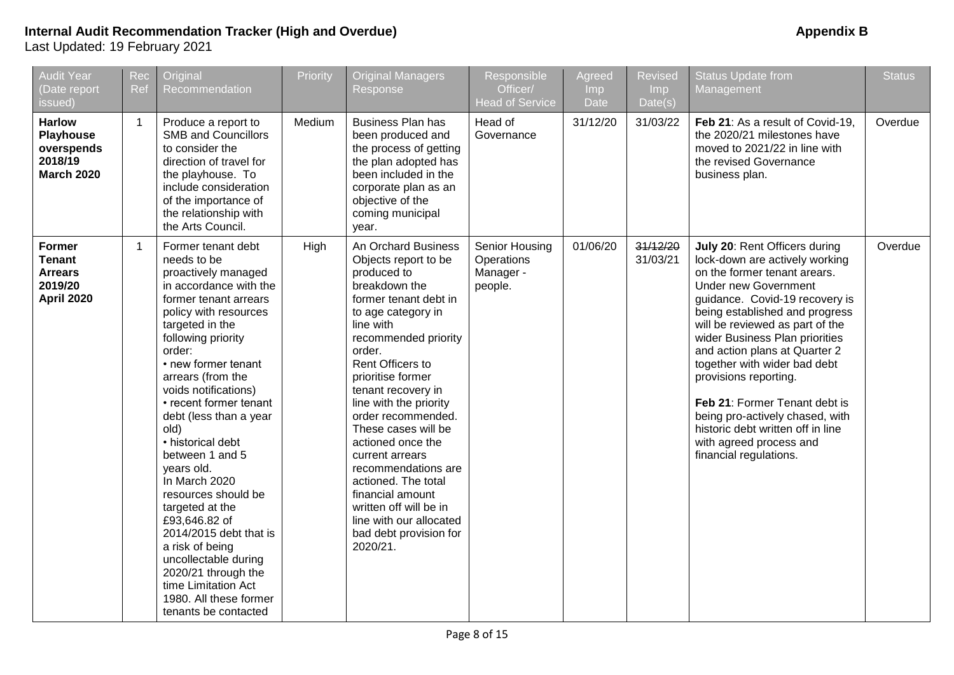# **Internal Audit Recommendation Tracker (High and Overdue) Appendix B**

| <b>Audit Year</b><br>(Date report<br>issued)                                     | Rec<br>Ref   | Original<br>Recommendation                                                                                                                                                                                                                                                                                                                                                                                                                                                                                                                                                                                                     | Priority | <b>Original Managers</b><br>Response                                                                                                                                                                                                                                                                                                                                                                                                                                                                                 | Responsible<br>Officer/<br><b>Head of Service</b>    | Agreed<br>Imp.<br><b>Date</b> | <b>Revised</b><br>Imp<br>Date(s) | <b>Status Update from</b><br>Management                                                                                                                                                                                                                                                                                                                                                                                                                                                                                         | <b>Status</b> |
|----------------------------------------------------------------------------------|--------------|--------------------------------------------------------------------------------------------------------------------------------------------------------------------------------------------------------------------------------------------------------------------------------------------------------------------------------------------------------------------------------------------------------------------------------------------------------------------------------------------------------------------------------------------------------------------------------------------------------------------------------|----------|----------------------------------------------------------------------------------------------------------------------------------------------------------------------------------------------------------------------------------------------------------------------------------------------------------------------------------------------------------------------------------------------------------------------------------------------------------------------------------------------------------------------|------------------------------------------------------|-------------------------------|----------------------------------|---------------------------------------------------------------------------------------------------------------------------------------------------------------------------------------------------------------------------------------------------------------------------------------------------------------------------------------------------------------------------------------------------------------------------------------------------------------------------------------------------------------------------------|---------------|
| <b>Harlow</b><br><b>Playhouse</b><br>overspends<br>2018/19<br><b>March 2020</b>  | $\mathbf{1}$ | Produce a report to<br><b>SMB and Councillors</b><br>to consider the<br>direction of travel for<br>the playhouse. To<br>include consideration<br>of the importance of<br>the relationship with<br>the Arts Council.                                                                                                                                                                                                                                                                                                                                                                                                            | Medium   | <b>Business Plan has</b><br>been produced and<br>the process of getting<br>the plan adopted has<br>been included in the<br>corporate plan as an<br>objective of the<br>coming municipal<br>year.                                                                                                                                                                                                                                                                                                                     | Head of<br>Governance                                | 31/12/20                      | 31/03/22                         | Feb 21: As a result of Covid-19,<br>the 2020/21 milestones have<br>moved to 2021/22 in line with<br>the revised Governance<br>business plan.                                                                                                                                                                                                                                                                                                                                                                                    | Overdue       |
| <b>Former</b><br><b>Tenant</b><br><b>Arrears</b><br>2019/20<br><b>April 2020</b> | $\mathbf{1}$ | Former tenant debt<br>needs to be<br>proactively managed<br>in accordance with the<br>former tenant arrears<br>policy with resources<br>targeted in the<br>following priority<br>order:<br>• new former tenant<br>arrears (from the<br>voids notifications)<br>• recent former tenant<br>debt (less than a year<br>old)<br>• historical debt<br>between 1 and 5<br>years old.<br>In March 2020<br>resources should be<br>targeted at the<br>£93,646.82 of<br>2014/2015 debt that is<br>a risk of being<br>uncollectable during<br>2020/21 through the<br>time Limitation Act<br>1980. All these former<br>tenants be contacted | High     | An Orchard Business<br>Objects report to be<br>produced to<br>breakdown the<br>former tenant debt in<br>to age category in<br>line with<br>recommended priority<br>order.<br>Rent Officers to<br>prioritise former<br>tenant recovery in<br>line with the priority<br>order recommended.<br>These cases will be<br>actioned once the<br>current arrears<br>recommendations are<br>actioned. The total<br>financial amount<br>written off will be in<br>line with our allocated<br>bad debt provision for<br>2020/21. | Senior Housing<br>Operations<br>Manager -<br>people. | 01/06/20                      | 31/12/20<br>31/03/21             | July 20: Rent Officers during<br>lock-down are actively working<br>on the former tenant arears.<br><b>Under new Government</b><br>guidance. Covid-19 recovery is<br>being established and progress<br>will be reviewed as part of the<br>wider Business Plan priorities<br>and action plans at Quarter 2<br>together with wider bad debt<br>provisions reporting.<br>Feb 21: Former Tenant debt is<br>being pro-actively chased, with<br>historic debt written off in line<br>with agreed process and<br>financial regulations. | Overdue       |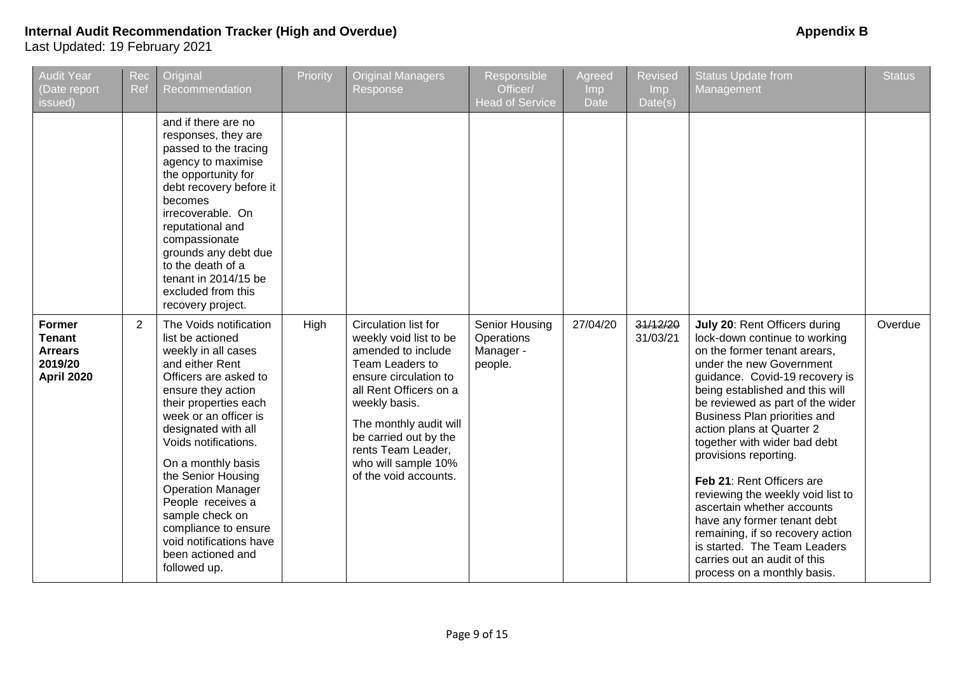#### **Internal Audit Recommendation Tracker (High and Overdue) Appendix B Appendix B Appendix B** Last Updated: 19 February 2021

Audit Year (Date report issued) Rec Ref **Original** Recommendation Priority | Original Managers Response Responsible Officer/ Head of Service **Agreed** Imp **Date** Revised Imp Date(s) Status Update from Management **Status** and if there are no responses, they are passed to the tracing agency to maximise the opportunity for debt recovery before it becomes irrecoverable. On reputational and compassionate grounds any debt due to the death of a tenant in 2014/15 be excluded from this recovery project. **Former Tenant Arrears 2019/20 April 2020** 2 The Voids notification list be actioned weekly in all cases and either Rent Officers are asked to ensure they action their properties each week or an officer is designated with all Voids notifications. On a monthly basis the Senior Housing Operation Manager People receives a sample check on compliance to ensure void notifications have been actioned and followed up. High Circulation list for weekly void list to be amended to include Team Leaders to ensure circulation to all Rent Officers on a weekly basis. The monthly audit will be carried out by the rents Team Leader, who will sample 10% of the void accounts. Senior Housing **Operations** Manager people. 27/04/20 31/12/20 31/03/21 **July 20**: Rent Officers during lock-down continue to working on the former tenant arears, under the new Government guidance. Covid-19 recovery is being established and this will be reviewed as part of the wider Business Plan priorities and action plans at Quarter 2 together with wider bad debt provisions reporting. **Feb 21**: Rent Officers are reviewing the weekly void list to ascertain whether accounts have any former tenant debt remaining, if so recovery action is started. The Team Leaders carries out an audit of this process on a monthly basis. **Overdue**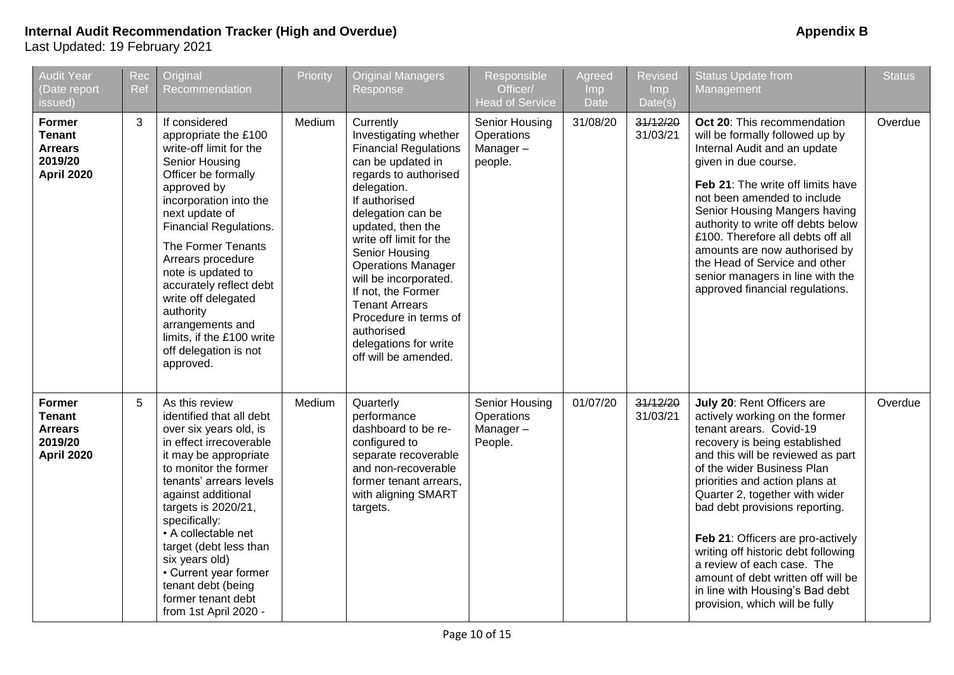| <b>Audit Year</b><br>(Date report<br>issued)                                     | Rec<br>Ref                                                                                                                                                                                                                                                                                                                                                                                                                                               | Original<br>Recommendation | Priority | <b>Original Managers</b><br>Response                                                                                                                                                                                                                                                                                                                                                                                                 | Responsible<br>Officer/<br><b>Head of Service</b>   | Agreed<br><b>Imp</b><br>Date | <b>Revised</b><br><b>Imp</b><br>Date(s) | <b>Status Update from</b><br>Management                                                                                                                                                                                                                                                                                                                                                                                                                                                                                | <b>Status</b> |
|----------------------------------------------------------------------------------|----------------------------------------------------------------------------------------------------------------------------------------------------------------------------------------------------------------------------------------------------------------------------------------------------------------------------------------------------------------------------------------------------------------------------------------------------------|----------------------------|----------|--------------------------------------------------------------------------------------------------------------------------------------------------------------------------------------------------------------------------------------------------------------------------------------------------------------------------------------------------------------------------------------------------------------------------------------|-----------------------------------------------------|------------------------------|-----------------------------------------|------------------------------------------------------------------------------------------------------------------------------------------------------------------------------------------------------------------------------------------------------------------------------------------------------------------------------------------------------------------------------------------------------------------------------------------------------------------------------------------------------------------------|---------------|
| <b>Former</b><br><b>Tenant</b><br><b>Arrears</b><br>2019/20<br><b>April 2020</b> | 3<br>If considered<br>appropriate the £100<br>write-off limit for the<br>Senior Housing<br>Officer be formally<br>approved by<br>incorporation into the<br>next update of<br><b>Financial Regulations.</b><br>The Former Tenants<br>Arrears procedure<br>note is updated to<br>accurately reflect debt<br>write off delegated<br>authority<br>arrangements and<br>limits, if the £100 write<br>off delegation is not<br>approved.<br>5<br>As this review |                            | Medium   | Currently<br>Investigating whether<br><b>Financial Regulations</b><br>can be updated in<br>regards to authorised<br>delegation.<br>If authorised<br>delegation can be<br>updated, then the<br>write off limit for the<br>Senior Housing<br><b>Operations Manager</b><br>will be incorporated.<br>If not, the Former<br><b>Tenant Arrears</b><br>Procedure in terms of<br>authorised<br>delegations for write<br>off will be amended. | Senior Housing<br>Operations<br>Manager-<br>people. | 31/08/20                     | 31/12/20<br>31/03/21                    | Oct 20: This recommendation<br>will be formally followed up by<br>Internal Audit and an update<br>given in due course.<br>Feb 21: The write off limits have<br>not been amended to include<br>Senior Housing Mangers having<br>authority to write off debts below<br>£100. Therefore all debts off all<br>amounts are now authorised by<br>the Head of Service and other<br>senior managers in line with the<br>approved financial regulations.                                                                        | Overdue       |
| <b>Former</b><br><b>Tenant</b><br><b>Arrears</b><br>2019/20<br><b>April 2020</b> | identified that all debt<br>over six years old, is<br>in effect irrecoverable<br>it may be appropriate<br>to monitor the former<br>tenants' arrears levels<br>against additional<br>targets is 2020/21,<br>specifically:<br>• A collectable net<br>target (debt less than<br>six years old)<br>• Current year former<br>tenant debt (being<br>former tenant debt<br>from 1st April 2020 -                                                                |                            | Medium   | Quarterly<br>performance<br>dashboard to be re-<br>configured to<br>separate recoverable<br>and non-recoverable<br>former tenant arrears,<br>with aligning SMART<br>targets.                                                                                                                                                                                                                                                         | Senior Housing<br>Operations<br>Manager-<br>People. | 01/07/20                     | 31/12/20<br>31/03/21                    | July 20: Rent Officers are<br>actively working on the former<br>tenant arears. Covid-19<br>recovery is being established<br>and this will be reviewed as part<br>of the wider Business Plan<br>priorities and action plans at<br>Quarter 2, together with wider<br>bad debt provisions reporting.<br>Feb 21: Officers are pro-actively<br>writing off historic debt following<br>a review of each case. The<br>amount of debt written off will be<br>in line with Housing's Bad debt<br>provision, which will be fully | Overdue       |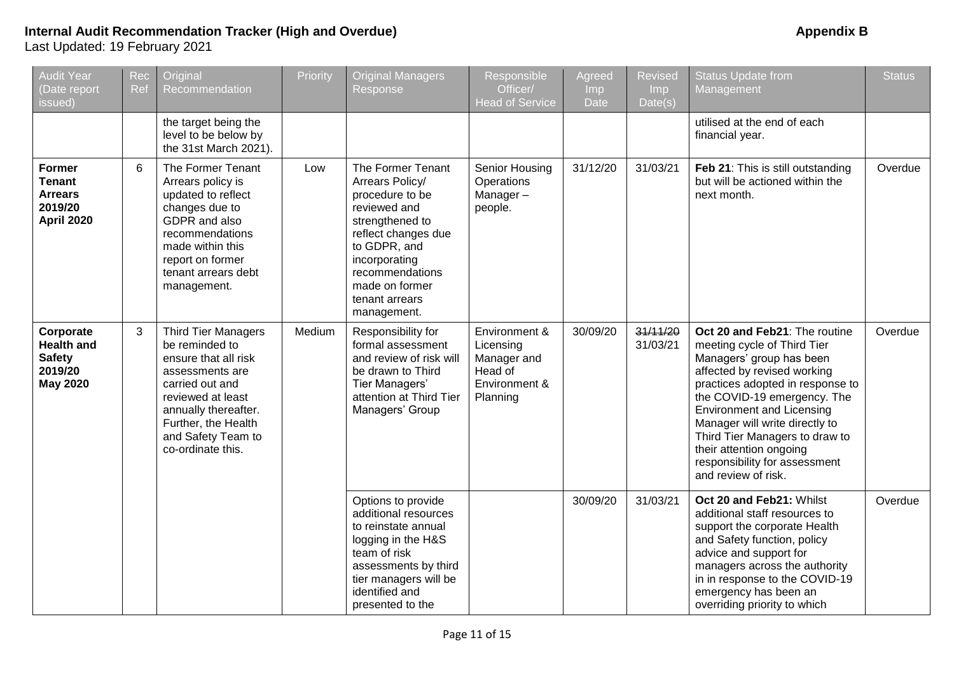# **Internal Audit Recommendation Tracker (High and Overdue) Appendix B Appendix B Appendix B** Last Updated: 19 February 2021

overriding priority to which

**Status** 

Overdue

Overdue

Overdue

| <b>Audit Year</b><br>(Date report<br>issued)                                     | Rec<br>Ref | Original<br>Recommendation                                                                                                                                                                                                | Priority | <b>Original Managers</b><br>Response                                                                                                                                                                                     | Responsible<br>Officer/<br><b>Head of Service</b>                                 | Agreed<br><b>Imp</b><br><b>Date</b> | <b>Revised</b><br><b>Imp</b><br>Date(s) | <b>Status Update from</b><br>Management                                                                                                                                                                                                                                                                                                                                               |
|----------------------------------------------------------------------------------|------------|---------------------------------------------------------------------------------------------------------------------------------------------------------------------------------------------------------------------------|----------|--------------------------------------------------------------------------------------------------------------------------------------------------------------------------------------------------------------------------|-----------------------------------------------------------------------------------|-------------------------------------|-----------------------------------------|---------------------------------------------------------------------------------------------------------------------------------------------------------------------------------------------------------------------------------------------------------------------------------------------------------------------------------------------------------------------------------------|
|                                                                                  |            | the target being the<br>level to be below by<br>the 31st March 2021).                                                                                                                                                     |          |                                                                                                                                                                                                                          |                                                                                   |                                     |                                         | utilised at the end of each<br>financial year.                                                                                                                                                                                                                                                                                                                                        |
| <b>Former</b><br><b>Tenant</b><br><b>Arrears</b><br>2019/20<br><b>April 2020</b> | 6          | The Former Tenant<br>Arrears policy is<br>updated to reflect<br>changes due to<br>GDPR and also<br>recommendations<br>made within this<br>report on former<br>tenant arrears debt<br>management.                          | Low      | The Former Tenant<br>Arrears Policy/<br>procedure to be<br>reviewed and<br>strengthened to<br>reflect changes due<br>to GDPR, and<br>incorporating<br>recommendations<br>made on former<br>tenant arrears<br>management. | Senior Housing<br>Operations<br>Manager-<br>people.                               | 31/12/20                            | 31/03/21                                | Feb 21: This is still outstanding<br>but will be actioned within the<br>next month.                                                                                                                                                                                                                                                                                                   |
| Corporate<br><b>Health and</b><br><b>Safety</b><br>2019/20<br><b>May 2020</b>    | 3          | <b>Third Tier Managers</b><br>be reminded to<br>ensure that all risk<br>assessments are<br>carried out and<br>reviewed at least<br>annually thereafter.<br>Further, the Health<br>and Safety Team to<br>co-ordinate this. | Medium   | Responsibility for<br>formal assessment<br>and review of risk will<br>be drawn to Third<br>Tier Managers'<br>attention at Third Tier<br>Managers' Group                                                                  | Environment &<br>Licensing<br>Manager and<br>Head of<br>Environment &<br>Planning | 30/09/20                            | 31/11/20<br>31/03/21                    | Oct 20 and Feb21: The routine<br>meeting cycle of Third Tier<br>Managers' group has been<br>affected by revised working<br>practices adopted in response to<br>the COVID-19 emergency. The<br><b>Environment and Licensing</b><br>Manager will write directly to<br>Third Tier Managers to draw to<br>their attention ongoing<br>responsibility for assessment<br>and review of risk. |
|                                                                                  |            |                                                                                                                                                                                                                           |          | Options to provide<br>additional resources<br>to reinstate annual<br>logging in the H&S<br>team of risk<br>assessments by third<br>tier managers will be<br>identified and                                               |                                                                                   | 30/09/20                            | 31/03/21                                | Oct 20 and Feb21: Whilst<br>additional staff resources to<br>support the corporate Health<br>and Safety function, policy<br>advice and support for<br>managers across the authority<br>in in response to the COVID-19<br>emergency has been an                                                                                                                                        |

presented to the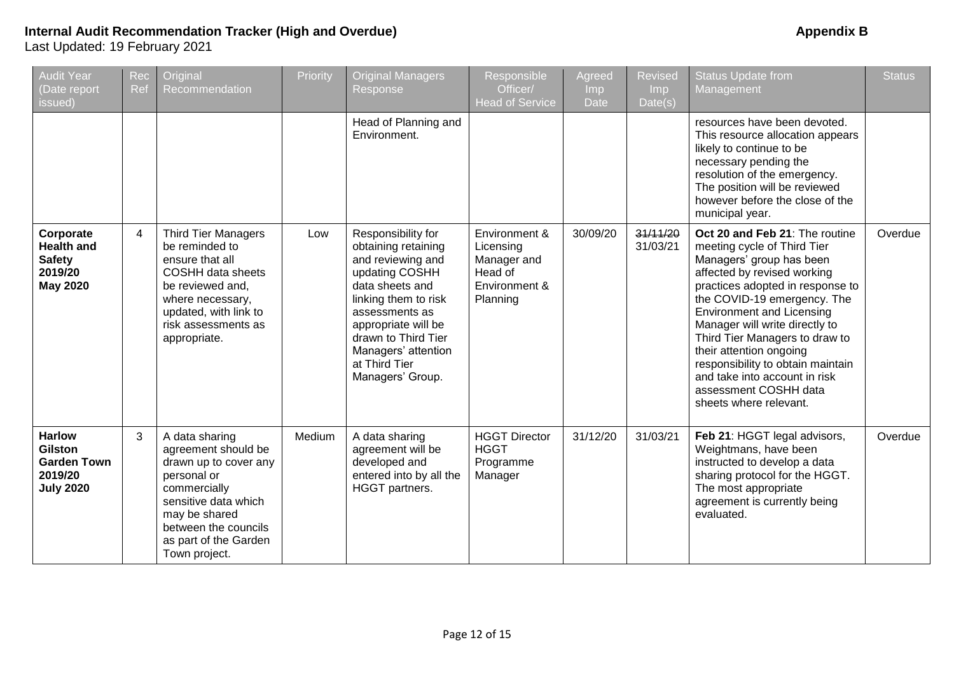| <b>Audit Year</b><br>(Date report<br>issued)                                  | Rec<br>Ref | Original<br>Recommendation                                                                                                                                                                               | Priority | <b>Original Managers</b><br>Response                                                                                                                                                                                                                    | Responsible<br>Officer/<br><b>Head of Service</b>                                 | Agreed<br>Imp<br>Date | <b>Revised</b><br>Imp.<br>Date(s) | <b>Status Update from</b><br>Management                                                                                                                                                                                                                                                                                                                                                                                                                 | <b>Status</b> |
|-------------------------------------------------------------------------------|------------|----------------------------------------------------------------------------------------------------------------------------------------------------------------------------------------------------------|----------|---------------------------------------------------------------------------------------------------------------------------------------------------------------------------------------------------------------------------------------------------------|-----------------------------------------------------------------------------------|-----------------------|-----------------------------------|---------------------------------------------------------------------------------------------------------------------------------------------------------------------------------------------------------------------------------------------------------------------------------------------------------------------------------------------------------------------------------------------------------------------------------------------------------|---------------|
|                                                                               |            |                                                                                                                                                                                                          |          | Head of Planning and<br>Environment.                                                                                                                                                                                                                    |                                                                                   |                       |                                   | resources have been devoted.<br>This resource allocation appears<br>likely to continue to be<br>necessary pending the<br>resolution of the emergency.<br>The position will be reviewed<br>however before the close of the<br>municipal year.                                                                                                                                                                                                            |               |
| Corporate<br><b>Health and</b><br><b>Safety</b><br>2019/20<br><b>May 2020</b> | 4          | <b>Third Tier Managers</b><br>be reminded to<br>ensure that all<br><b>COSHH data sheets</b><br>be reviewed and,<br>where necessary,<br>updated, with link to<br>risk assessments as<br>appropriate.      | Low      | Responsibility for<br>obtaining retaining<br>and reviewing and<br>updating COSHH<br>data sheets and<br>linking them to risk<br>assessments as<br>appropriate will be<br>drawn to Third Tier<br>Managers' attention<br>at Third Tier<br>Managers' Group. | Environment &<br>Licensing<br>Manager and<br>Head of<br>Environment &<br>Planning | 30/09/20              | 31/11/20<br>31/03/21              | Oct 20 and Feb 21: The routine<br>meeting cycle of Third Tier<br>Managers' group has been<br>affected by revised working<br>practices adopted in response to<br>the COVID-19 emergency. The<br><b>Environment and Licensing</b><br>Manager will write directly to<br>Third Tier Managers to draw to<br>their attention ongoing<br>responsibility to obtain maintain<br>and take into account in risk<br>assessment COSHH data<br>sheets where relevant. | Overdue       |
| <b>Harlow</b><br>Gilston<br><b>Garden Town</b><br>2019/20<br><b>July 2020</b> | 3          | A data sharing<br>agreement should be<br>drawn up to cover any<br>personal or<br>commercially<br>sensitive data which<br>may be shared<br>between the councils<br>as part of the Garden<br>Town project. | Medium   | A data sharing<br>agreement will be<br>developed and<br>entered into by all the<br>HGGT partners.                                                                                                                                                       | <b>HGGT Director</b><br><b>HGGT</b><br>Programme<br>Manager                       | 31/12/20              | 31/03/21                          | Feb 21: HGGT legal advisors,<br>Weightmans, have been<br>instructed to develop a data<br>sharing protocol for the HGGT.<br>The most appropriate<br>agreement is currently being<br>evaluated.                                                                                                                                                                                                                                                           | Overdue       |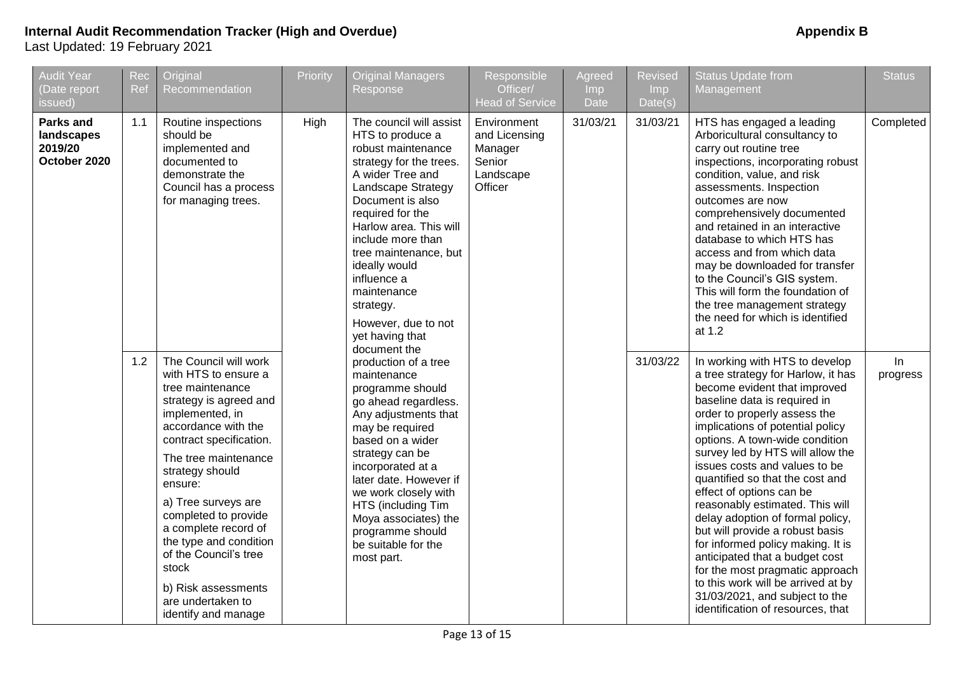| <b>Audit Year</b><br>(Date report<br>issued)              | <b>Rec</b><br>Ref | Original<br>Recommendation                                                                                                                                                                                                                                                                                                                                                                                                   | Priority | <b>Original Managers</b><br>Response                                                                                                                                                                                                                                                                                                                                         | Responsible<br>Officer/<br><b>Head of Service</b>                         | Agreed<br>Imp<br>Date | <b>Revised</b><br>Imp.<br>Date(s) | <b>Status Update from</b><br>Management                                                                                                                                                                                                                                                                                                                                                                                                                                                                                                                                                                                                                                                                         | <b>Status</b>  |
|-----------------------------------------------------------|-------------------|------------------------------------------------------------------------------------------------------------------------------------------------------------------------------------------------------------------------------------------------------------------------------------------------------------------------------------------------------------------------------------------------------------------------------|----------|------------------------------------------------------------------------------------------------------------------------------------------------------------------------------------------------------------------------------------------------------------------------------------------------------------------------------------------------------------------------------|---------------------------------------------------------------------------|-----------------------|-----------------------------------|-----------------------------------------------------------------------------------------------------------------------------------------------------------------------------------------------------------------------------------------------------------------------------------------------------------------------------------------------------------------------------------------------------------------------------------------------------------------------------------------------------------------------------------------------------------------------------------------------------------------------------------------------------------------------------------------------------------------|----------------|
| <b>Parks and</b><br>landscapes<br>2019/20<br>October 2020 | 1.1               | Routine inspections<br>should be<br>implemented and<br>documented to<br>demonstrate the<br>Council has a process<br>for managing trees.                                                                                                                                                                                                                                                                                      | High     | The council will assist<br>HTS to produce a<br>robust maintenance<br>strategy for the trees.<br>A wider Tree and<br>Landscape Strategy<br>Document is also<br>required for the<br>Harlow area. This will<br>include more than<br>tree maintenance, but<br>ideally would<br>influence a<br>maintenance<br>strategy.<br>However, due to not<br>yet having that<br>document the | Environment<br>and Licensing<br>Manager<br>Senior<br>Landscape<br>Officer | 31/03/21              | 31/03/21                          | HTS has engaged a leading<br>Arboricultural consultancy to<br>carry out routine tree<br>inspections, incorporating robust<br>condition, value, and risk<br>assessments. Inspection<br>outcomes are now<br>comprehensively documented<br>and retained in an interactive<br>database to which HTS has<br>access and from which data<br>may be downloaded for transfer<br>to the Council's GIS system.<br>This will form the foundation of<br>the tree management strategy<br>the need for which is identified<br>at 1.2                                                                                                                                                                                           | Completed      |
|                                                           | 1.2               | The Council will work<br>with HTS to ensure a<br>tree maintenance<br>strategy is agreed and<br>implemented, in<br>accordance with the<br>contract specification.<br>The tree maintenance<br>strategy should<br>ensure:<br>a) Tree surveys are<br>completed to provide<br>a complete record of<br>the type and condition<br>of the Council's tree<br>stock<br>b) Risk assessments<br>are undertaken to<br>identify and manage |          | production of a tree<br>maintenance<br>programme should<br>go ahead regardless.<br>Any adjustments that<br>may be required<br>based on a wider<br>strategy can be<br>incorporated at a<br>later date. However if<br>we work closely with<br>HTS (including Tim<br>Moya associates) the<br>programme should<br>be suitable for the<br>most part.                              |                                                                           |                       | 31/03/22                          | In working with HTS to develop<br>a tree strategy for Harlow, it has<br>become evident that improved<br>baseline data is required in<br>order to properly assess the<br>implications of potential policy<br>options. A town-wide condition<br>survey led by HTS will allow the<br>issues costs and values to be<br>quantified so that the cost and<br>effect of options can be<br>reasonably estimated. This will<br>delay adoption of formal policy,<br>but will provide a robust basis<br>for informed policy making. It is<br>anticipated that a budget cost<br>for the most pragmatic approach<br>to this work will be arrived at by<br>31/03/2021, and subject to the<br>identification of resources, that | In<br>progress |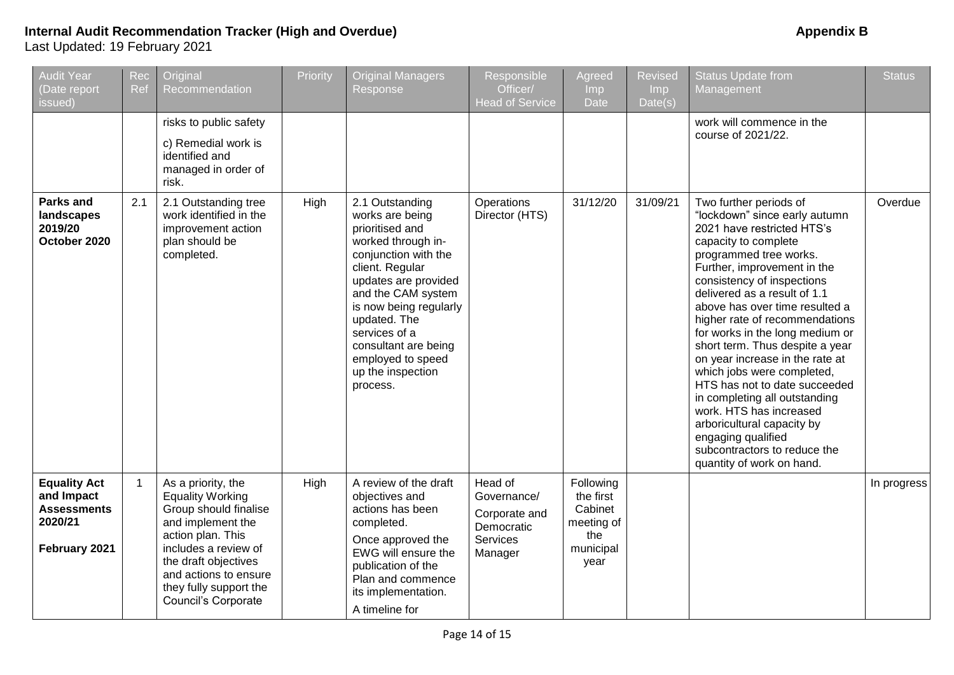| <b>Audit Year</b><br>(Date report<br>issued)                                        | Rec<br>Ref     | Original<br>Recommendation                                                                                                                                                                                                                 | Priority | Original Managers<br>Response                                                                                                                                                                                                                                                                                 | Responsible<br>Officer/<br><b>Head of Service</b>                            | <b>Agreed</b><br><b>Imp</b><br><b>Date</b>                                  | <b>Revised</b><br>Imp<br>Date(s) | <b>Status Update from</b><br>Management                                                                                                                                                                                                                                                                                                                                                                                                                                                                                                                                                                                                                       | <b>Status</b> |
|-------------------------------------------------------------------------------------|----------------|--------------------------------------------------------------------------------------------------------------------------------------------------------------------------------------------------------------------------------------------|----------|---------------------------------------------------------------------------------------------------------------------------------------------------------------------------------------------------------------------------------------------------------------------------------------------------------------|------------------------------------------------------------------------------|-----------------------------------------------------------------------------|----------------------------------|---------------------------------------------------------------------------------------------------------------------------------------------------------------------------------------------------------------------------------------------------------------------------------------------------------------------------------------------------------------------------------------------------------------------------------------------------------------------------------------------------------------------------------------------------------------------------------------------------------------------------------------------------------------|---------------|
|                                                                                     |                | risks to public safety<br>c) Remedial work is<br>identified and<br>managed in order of<br>risk.                                                                                                                                            |          |                                                                                                                                                                                                                                                                                                               |                                                                              |                                                                             |                                  | work will commence in the<br>course of 2021/22.                                                                                                                                                                                                                                                                                                                                                                                                                                                                                                                                                                                                               |               |
| Parks and<br>landscapes<br>2019/20<br>October 2020                                  | 2.1            | 2.1 Outstanding tree<br>work identified in the<br>improvement action<br>plan should be<br>completed.                                                                                                                                       | High     | 2.1 Outstanding<br>works are being<br>prioritised and<br>worked through in-<br>conjunction with the<br>client. Regular<br>updates are provided<br>and the CAM system<br>is now being regularly<br>updated. The<br>services of a<br>consultant are being<br>employed to speed<br>up the inspection<br>process. | Operations<br>Director (HTS)                                                 | 31/12/20                                                                    | 31/09/21                         | Two further periods of<br>"lockdown" since early autumn<br>2021 have restricted HTS's<br>capacity to complete<br>programmed tree works.<br>Further, improvement in the<br>consistency of inspections<br>delivered as a result of 1.1<br>above has over time resulted a<br>higher rate of recommendations<br>for works in the long medium or<br>short term. Thus despite a year<br>on year increase in the rate at<br>which jobs were completed,<br>HTS has not to date succeeded<br>in completing all outstanding<br>work. HTS has increased<br>arboricultural capacity by<br>engaging qualified<br>subcontractors to reduce the<br>quantity of work on hand. | Overdue       |
| <b>Equality Act</b><br>and Impact<br><b>Assessments</b><br>2020/21<br>February 2021 | $\overline{1}$ | As a priority, the<br><b>Equality Working</b><br>Group should finalise<br>and implement the<br>action plan. This<br>includes a review of<br>the draft objectives<br>and actions to ensure<br>they fully support the<br>Council's Corporate | High     | A review of the draft<br>objectives and<br>actions has been<br>completed.<br>Once approved the<br>EWG will ensure the<br>publication of the<br>Plan and commence<br>its implementation.<br>A timeline for                                                                                                     | Head of<br>Governance/<br>Corporate and<br>Democratic<br>Services<br>Manager | Following<br>the first<br>Cabinet<br>meeting of<br>the<br>municipal<br>year |                                  |                                                                                                                                                                                                                                                                                                                                                                                                                                                                                                                                                                                                                                                               | In progress   |